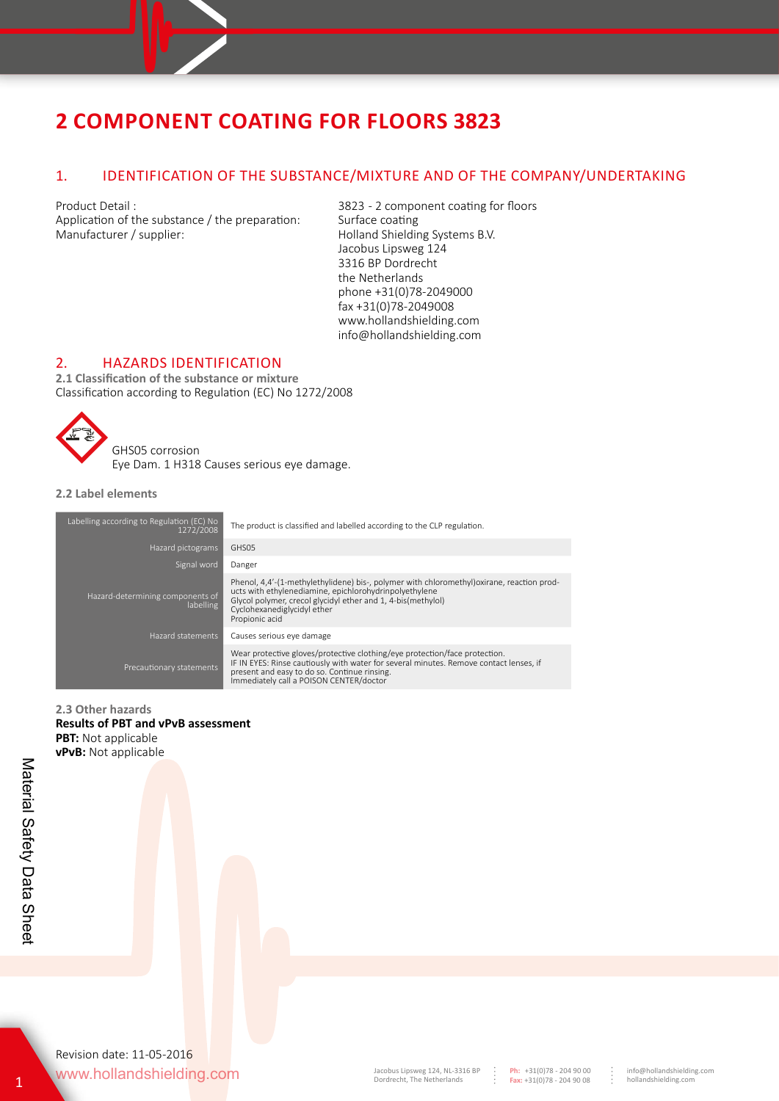## 1. IDENTIFICATION OF THE SUBSTANCE/MIXTURE AND OF THE COMPANY/UNDERTAKING

Application of the substance  $/$  the preparation: Manufacturer / supplier: Manufacturer / supplier: Holland Shielding Systems B.V.

Product Detail : 3823 - 2 component coating for floors<br>Application of the substance / the preparation: Surface coating Jacobus Lipsweg 124 3316 BP Dordrecht the Netherlands phone +31(0)78-2049000 fax +31(0)78-2049008 www.hollandshielding.com info@hollandshielding.com

## 2. HAZARDS IDENTIFICATION

**2.1 Classification of the substance or mixture** Classification according to Regulation (EC) No 1272/2008

> GHS05 corrosion Eye Dam. 1 H318 Causes serious eye damage.

**2.2 Label elements**

| Labelling according to Regulation (EC) No<br>1272/2008 | The product is classified and labelled according to the CLP regulation.                                                                                                                                                                                               |
|--------------------------------------------------------|-----------------------------------------------------------------------------------------------------------------------------------------------------------------------------------------------------------------------------------------------------------------------|
| Hazard pictograms                                      | GHS05                                                                                                                                                                                                                                                                 |
| Signal word                                            | Danger                                                                                                                                                                                                                                                                |
| Hazard-determining components of<br>labelling          | Phenol, 4,4'-(1-methylethylidene) bis-, polymer with chloromethyl) oxirane, reaction prod-<br>ucts with ethylenediamine, epichlorohydrinpolyethylene<br>Glycol polymer, crecol glycidyl ether and 1, 4-bis(methylol)<br>Cyclohexanediglycidyl ether<br>Propionic acid |
| Hazard statements                                      | Causes serious eye damage                                                                                                                                                                                                                                             |
| Precautionary statements                               | Wear protective gloves/protective clothing/eye protection/face protection.<br>IF IN EYES: Rinse cautiously with water for several minutes. Remove contact lenses, if<br>present and easy to do so. Continue rinsing.<br>Immediately call a POISON CENTER/doctor       |

**2.3 Other hazards Results of PBT and vPvB assessment PBT:** Not applicable **vPvB:** Not applicable

www.hollandshielding.com Revision date: 11-05-2016

**Ph:** +31(0)78 - 204 90 00 **Fax:** +31(0)78 - 204 90 08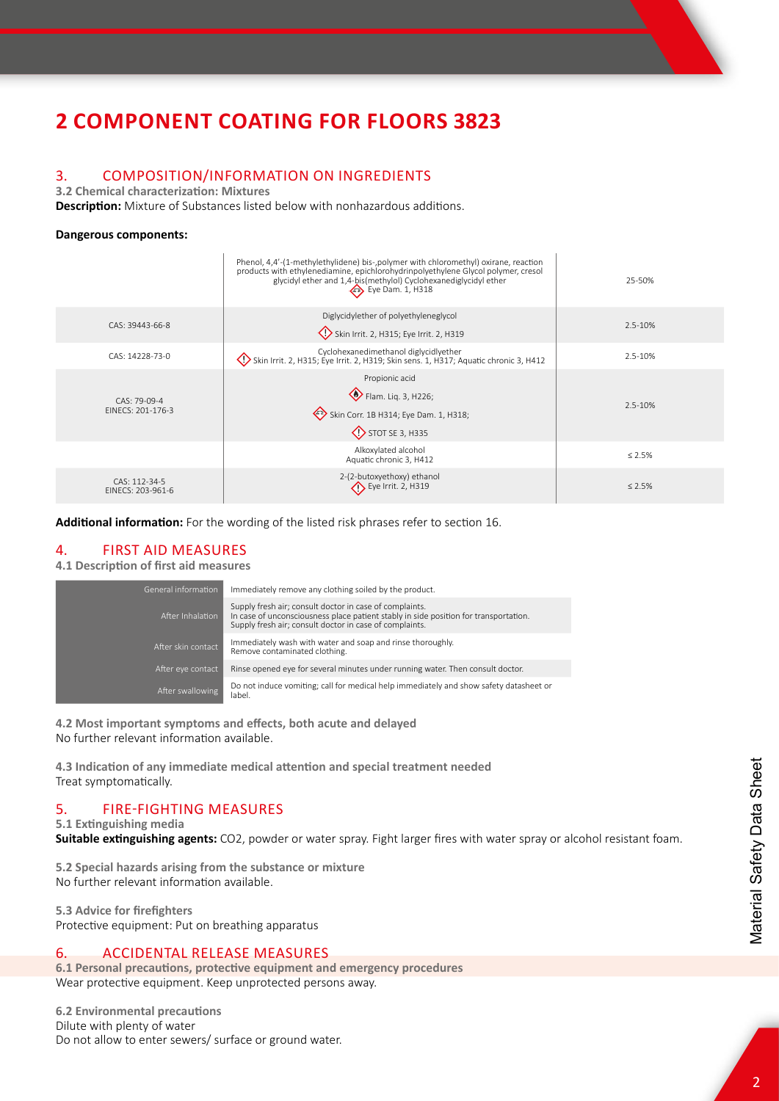# 3. COMPOSITION/INFORMATION ON INGREDIENTS

**3.2 Chemical characterization: Mixtures**

**Description:** Mixture of Substances listed below with nonhazardous additions.

## **Dangerous components:**

|                                     | Phenol, 4,4'-(1-methylethylidene) bis-, polymer with chloromethyl) oxirane, reaction<br>products with ethylenediamine, epichlorohydrinpolyethylene Glycol polymer, cresol<br>glycidyl ether and 1,4-bis(methylol) Cyclohexanediglycidyl ether<br>$\leftrightarrow$ Eye Dam. 1, H318 | 25-50%       |
|-------------------------------------|-------------------------------------------------------------------------------------------------------------------------------------------------------------------------------------------------------------------------------------------------------------------------------------|--------------|
| CAS: 39443-66-8                     | Diglycidylether of polyethyleneglycol<br>Skin Irrit. 2, H315; Eye Irrit. 2, H319                                                                                                                                                                                                    | 2.5-10%      |
| CAS: 14228-73-0                     | Cyclohexanedimethanol diglycidlyether<br>Skin Irrit. 2, H315; Eye Irrit. 2, H319; Skin sens. 1, H317; Aquatic chronic 3, H412                                                                                                                                                       | 2.5-10%      |
| $CAS: 79-09-4$<br>EINECS: 201-176-3 | Propionic acid<br>Flam. Liq. 3, H226;<br>Skin Corr. 1B H314; Eye Dam. 1, H318;<br>STOT SE 3, H335                                                                                                                                                                                   | 2.5-10%      |
|                                     | Alkoxylated alcohol<br>Aquatic chronic 3, H412                                                                                                                                                                                                                                      | $\leq 2.5\%$ |
| CAS: 112-34-5<br>EINECS: 203-961-6  | 2-(2-butoxyethoxy) ethanol<br>$\left\langle \right\rangle$ Eye Irrit. 2, H319                                                                                                                                                                                                       | $\leq 2.5\%$ |

**Additional information:** For the wording of the listed risk phrases refer to section 16.

## 4. FIRST AID MEASURES

## **4.1 Description of first aid measures**

| General information | Immediately remove any clothing soiled by the product.                                                                                                                                                     |
|---------------------|------------------------------------------------------------------------------------------------------------------------------------------------------------------------------------------------------------|
| After Inhalation    | Supply fresh air; consult doctor in case of complaints.<br>In case of unconsciousness place patient stably in side position for transportation.<br>Supply fresh air; consult doctor in case of complaints. |
| After skin contact  | Immediately wash with water and soap and rinse thoroughly.<br>Remove contaminated clothing.                                                                                                                |
| After eye contact   | Rinse opened eye for several minutes under running water. Then consult doctor.                                                                                                                             |
| After swallowing    | Do not induce vomiting; call for medical help immediately and show safety datasheet or<br>label.                                                                                                           |

**4.2 Most important symptoms and effects, both acute and delayed**  No further relevant information available.

**4.3 Indication of any immediate medical attention and special treatment needed**  Treat symptomatically.

## 5. FIRE-FIGHTING MEASURES

**5.1 Extinguishing media**

**Suitable extinguishing agents:** CO2, powder or water spray. Fight larger fires with water spray or alcohol resistant foam.

**5.2 Special hazards arising from the substance or mixture**  No further relevant information available.

**5.3 Advice for firefighters** Protective equipment: Put on breathing apparatus

## 6. ACCIDENTAL RELEASE MEASURES

**6.1 Personal precautions, protective equipment and emergency procedures**  Wear protective equipment. Keep unprotected persons away.

**6.2 Environmental precautions** Dilute with plenty of water Do not allow to enter sewers/ surface or ground water.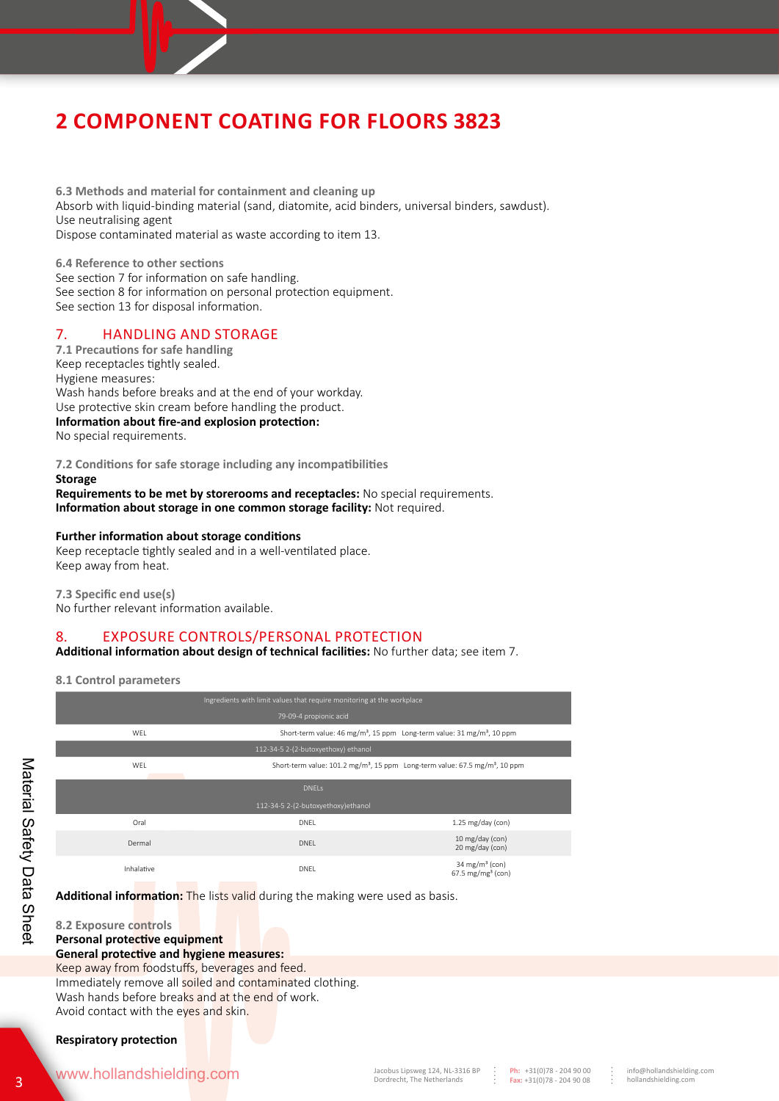**6.3 Methods and material for containment and cleaning up** Absorb with liquid-binding material (sand, diatomite, acid binders, universal binders, sawdust). Use neutralising agent Dispose contaminated material as waste according to item 13.

**6.4 Reference to other sections**  See section 7 for information on safe handling. See section 8 for information on personal protection equipment. See section 13 for disposal information.

## 7. HANDLING AND STORAGE

**7.1 Precautions for safe handling** Keep receptacles tightly sealed. Hygiene measures: Wash hands before breaks and at the end of your workday. Use protective skin cream before handling the product. **Information about fire-and explosion protection:**  No special requirements.

**7.2 Conditions for safe storage including any incompatibilities**

### **Storage Requirements to be met by storerooms and receptacles:** No special requirements. **Information about storage in one common storage facility:** Not required.

## **Further information about storage conditions**

Keep receptacle tightly sealed and in a well-ventilated place. Keep away from heat.

**7.3 Specific end use(s)**  No further relevant information available.

# 8. EXPOSURE CONTROLS/PERSONAL PROTECTION

**Additional information about design of technical facilities:** No further data; see item 7.

**8.1 Control parameters**

| Ingredients with limit values that require monitoring at the workplace |                                                                                                     |                                                               |
|------------------------------------------------------------------------|-----------------------------------------------------------------------------------------------------|---------------------------------------------------------------|
|                                                                        | 79-09-4 propionic acid                                                                              |                                                               |
| WEL                                                                    | Short-term value: 46 mg/m <sup>3</sup> , 15 ppm Long-term value: 31 mg/m <sup>3</sup> , 10 ppm      |                                                               |
|                                                                        | 112-34-5 2-(2-butoxyethoxy) ethanol                                                                 |                                                               |
| WEL                                                                    | Short-term value: 101.2 mg/m <sup>3</sup> , 15 ppm Long-term value: 67.5 mg/m <sup>3</sup> , 10 ppm |                                                               |
|                                                                        |                                                                                                     |                                                               |
|                                                                        | <b>DNELS</b>                                                                                        |                                                               |
|                                                                        | 112-34-5 2-(2-butoxyethoxy)ethanol                                                                  |                                                               |
| Oral                                                                   | DNEL                                                                                                | $1.25$ mg/day (con)                                           |
| Dermal                                                                 | <b>DNEL</b>                                                                                         | 10 mg/day (con)<br>20 mg/day (con)                            |
|                                                                        |                                                                                                     |                                                               |
| Inhalative                                                             | DNEL                                                                                                | 34 mg/m <sup>3</sup> (con)<br>$67.5$ mg/mg <sup>3</sup> (con) |

**Additional information:** The lists valid during the making were used as basis.

**8.2 Exposure controls Personal protective equipment General protective and hygiene measures:**

Keep away from foodstuffs, beverages and feed. Immediately remove all soiled and contaminated clothing. Wash hands before breaks and at the end of work. Avoid contact with the eyes and skin.

## **Respiratory protection**

# WWW.hollandshielding.com Jacobus Lipsweg 124, NL-3316 BP

**Ph:** +31(0)78 - 204 90 00 **Fax:** +31(0)78 - 204 90 08

٠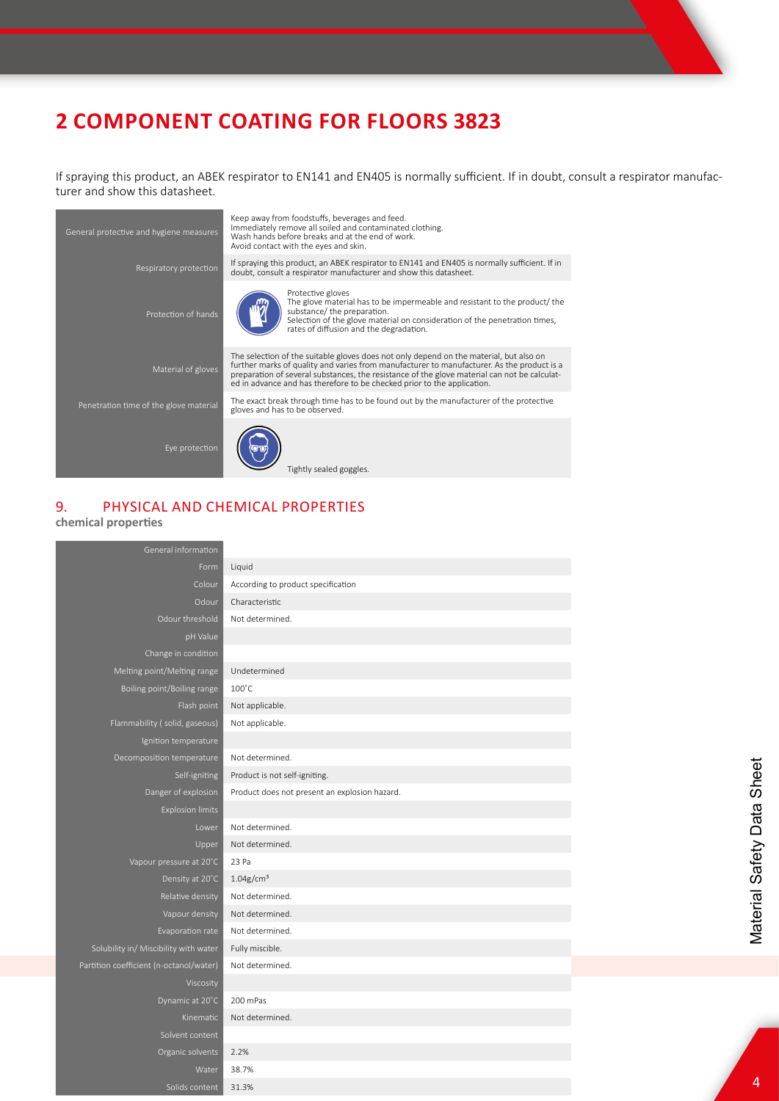If spraying this product, an ABEK respirator to EN141 and EN405 is normally sufficient. If in doubt, consult a respirator manufacturer and show this datasheet.

| General protective and hygiene measures | Keep away from foodstuffs, beverages and feed.<br>Immediately remove all soiled and contaminated clothing.<br>Wash hands before breaks and at the end of work.<br>Avoid contact with the eyes and skin.                                                                                                                                                         |
|-----------------------------------------|-----------------------------------------------------------------------------------------------------------------------------------------------------------------------------------------------------------------------------------------------------------------------------------------------------------------------------------------------------------------|
| Respiratory protection                  | If spraying this product, an ABEK respirator to EN141 and EN405 is normally sufficient. If in<br>doubt, consult a respirator manufacturer and show this datasheet.                                                                                                                                                                                              |
| Protection of hands                     | Protective gloves<br>The glove material has to be impermeable and resistant to the product/ the<br>substance/ the preparation.<br>Selection of the glove material on consideration of the penetration times,<br>rates of diffusion and the degradation.                                                                                                         |
| Material of gloves                      | The selection of the suitable gloves does not only depend on the material, but also on<br>further marks of quality and varies from manufacturer to manufacturer. As the product is a<br>preparation of several substances, the resistance of the glove material can not be calculat-<br>ed in advance and has therefore to be checked prior to the application. |
| Penetration time of the glove material  | The exact break through time has to be found out by the manufacturer of the protective<br>gloves and has to be observed.                                                                                                                                                                                                                                        |
| Eye protection                          | Tightly sealed goggles.                                                                                                                                                                                                                                                                                                                                         |

# 9. PHYSICAL AND CHEMICAL PROPERTIES

## **chemical properties**

| General information                     |                                               |
|-----------------------------------------|-----------------------------------------------|
| Form                                    | Liquid                                        |
| Colour                                  | According to product specification            |
| Odour                                   | Characteristic                                |
| Odour threshold                         | Not determined.                               |
| pH Value                                |                                               |
| Change in condition                     |                                               |
| Melting point/Melting range             | Undetermined                                  |
| Boiling point/Boiling range             | $100^{\circ}$ C                               |
| Flash point                             | Not applicable.                               |
| Flammability (solid, gaseous)           | Not applicable.                               |
| Ignition temperature                    |                                               |
| Decomposition temperature               | Not determined.                               |
| Self-igniting                           | Product is not self-igniting.                 |
| Danger of explosion                     | Product does not present an explosion hazard. |
| <b>Explosion limits</b>                 |                                               |
| Lower                                   | Not determined.                               |
| Upper                                   | Not determined.                               |
| Vapour pressure at 20°C                 | 23 Pa                                         |
| Density at 20°C                         | $1.04$ g/cm <sup>3</sup>                      |
| Relative density                        | Not determined.                               |
| Vapour density                          | Not determined.                               |
| Evaporation rate                        | Not determined.                               |
| Solubility in/ Miscibility with water   | Fully miscible.                               |
| Partition coefficient (n-octanol/water) | Not determined.                               |
| Viscosity                               |                                               |
| Dynamic at 20°C                         | 200 mPas                                      |
| Kinematic                               | Not determined.                               |
| Solvent content                         |                                               |
| Organic solvents                        | 2.2%                                          |
| Water                                   | 38.7%                                         |
| Solids content                          | 31.3%                                         |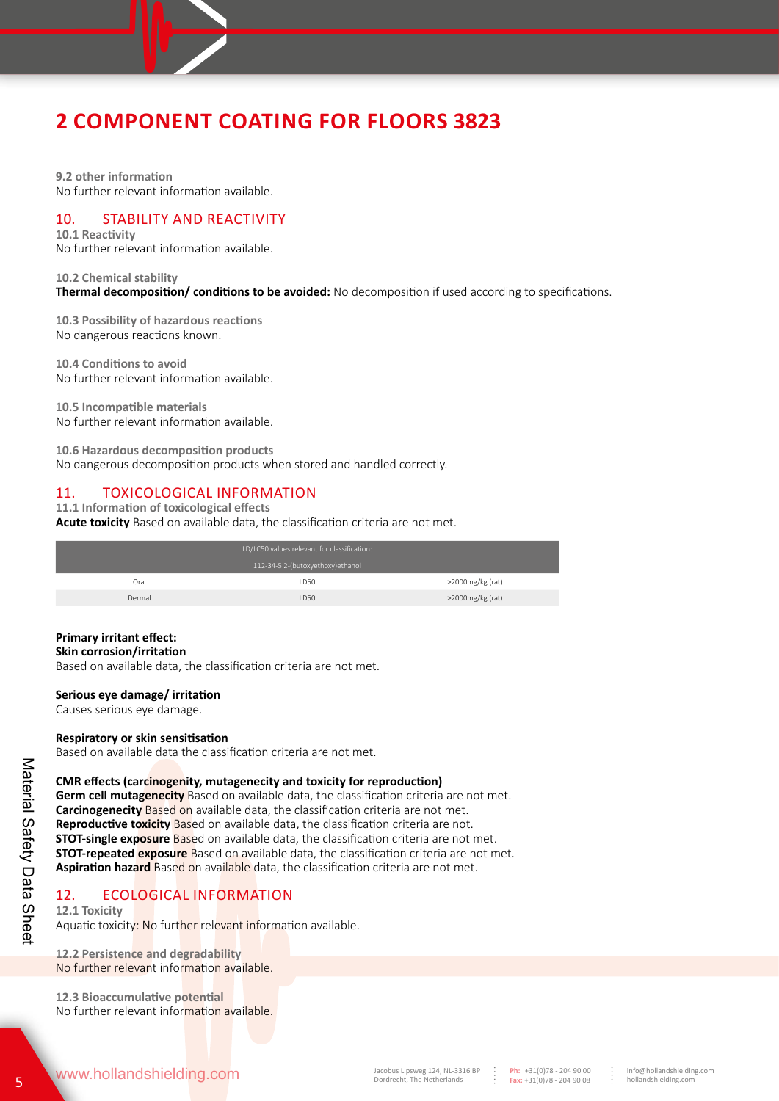

**9.2 other information** No further relevant information available.

## 10. STABILITY AND REACTIVITY

**10.1 Reactivity**  No further relevant information available.

## **10.2 Chemical stability Thermal decomposition/ conditions to be avoided:** No decomposition if used according to specifications.

**10.3 Possibility of hazardous reactions** No dangerous reactions known.

**10.4 Conditions to avoid**  No further relevant information available.

**10.5 Incompatible materials**  No further relevant information available.

**10.6 Hazardous decomposition products** No dangerous decomposition products when stored and handled correctly.

# 11. TOXICOLOGICAL INFORMATION

## **11.1 Information of toxicological effects**

**Acute toxicity** Based on available data, the classification criteria are not met.

|        | LD/LC50 values relevant for classification: |                  |
|--------|---------------------------------------------|------------------|
|        | 112-34-5 2-(butoxyethoxy)ethanol            |                  |
| Oral   | LD50                                        | >2000mg/kg (rat) |
| Dermal | LD50                                        | >2000mg/kg (rat) |

## **Primary irritant effect:**

### **Skin corrosion/irritation**

Based on available data, the classification criteria are not met.

## **Serious eye damage/ irritation**

Causes serious eye damage.

## **Respiratory or skin sensitisation**

Based on available data the classification criteria are not met.

## **CMR effects (carcinogenity, mutagenecity and toxicity for reproduction)**

**Germ cell mutagenecity** Based on available data, the classification criteria are not met. **Carcinogenecity** Based on available data, the classification criteria are not met. **Reproductive toxicity** Based on available data, the classification criteria are not. **STOT-single exposure** Based on available data, the classification criteria are not met. **STOT-repeated exposure** Based on available data, the classification criteria are not met. **Aspiration hazard** Based on available data, the classification criteria are not met.

# 12. ECOLOGICAL INFORMATION

**12.1 Toxicity** Aquatic toxicity: No further relevant information available.

**12.2 Persistence and degradability**  No further relevant information available.

**12.3 Bioaccumulative potential**  No further relevant information available.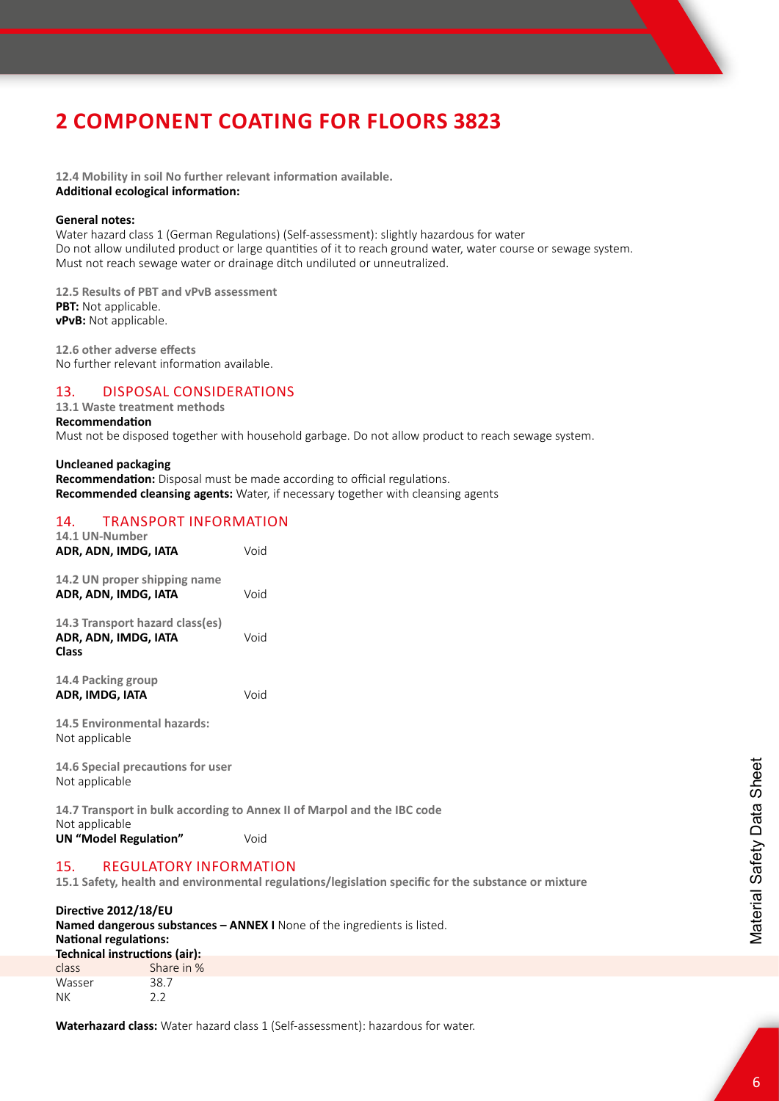**12.4 Mobility in soil No further relevant information available. Additional ecological information:**

### **General notes:**

Water hazard class 1 (German Regulations) (Self-assessment): slightly hazardous for water Do not allow undiluted product or large quantities of it to reach ground water, water course or sewage system. Must not reach sewage water or drainage ditch undiluted or unneutralized.

**12.5 Results of PBT and vPvB assessment PBT:** Not applicable. **vPvB:** Not applicable.

**12.6 other adverse effects**  No further relevant information available.

## 13. DISPOSAL CONSIDERATIONS

#### **13.1 Waste treatment methods Recommendation**

Must not be disposed together with household garbage. Do not allow product to reach sewage system.

### **Uncleaned packaging**

**Recommendation:** Disposal must be made according to official regulations. **Recommended cleansing agents:** Water, if necessary together with cleansing agents

## 14. TRANSPORT INFORMATION

| 14.1 UN-Number<br>ADR, ADN, IMDG, IATA                                  | Void                                                                    |
|-------------------------------------------------------------------------|-------------------------------------------------------------------------|
| 14.2 UN proper shipping name<br>ADR, ADN, IMDG, IATA                    | Void                                                                    |
| 14.3 Transport hazard class(es)<br>ADR, ADN, IMDG, IATA<br><b>Class</b> | Void                                                                    |
| 14.4 Packing group<br>ADR, IMDG, IATA                                   | Void                                                                    |
| <b>14.5 Environmental hazards:</b><br>Not applicable                    |                                                                         |
| 14.6 Special precautions for user<br>Not applicable                     |                                                                         |
|                                                                         | 14.7 Transport in bulk according to Annex II of Marpol and the IBC code |
| Not applicable<br>UN "Model Regulation"                                 | Void                                                                    |
| <b>REGULATORY INFORMATION</b><br>15.                                    |                                                                         |

**15.1 Safety, health and environmental regulations/legislation specific for the substance or mixture**

### **Directive 2012/18/EU**

| <b>Named dangerous substances – ANNEX I</b> None of the ingredients is listed.<br><b>National regulations:</b> |            |                               |
|----------------------------------------------------------------------------------------------------------------|------------|-------------------------------|
|                                                                                                                |            | Technical instructions (air): |
| class                                                                                                          | Share in % |                               |
| Wasser                                                                                                         | 38.7       |                               |
| ΝK                                                                                                             | つつ         |                               |

**Waterhazard class:** Water hazard class 1 (Self-assessment): hazardous for water.